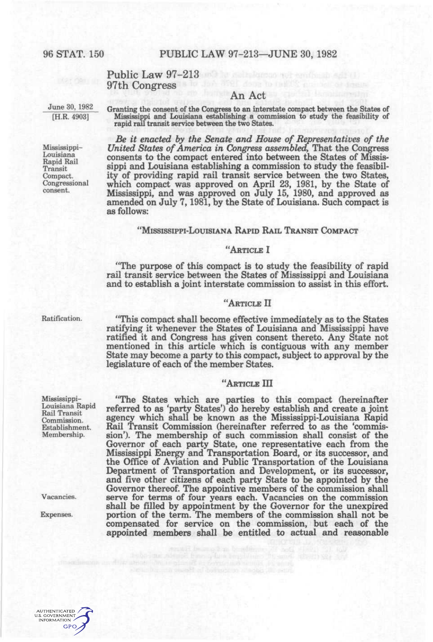# Public Law 97-213 97th Congress

June 30, 1982 [H.R. 4903]

Granting the consent of the Congress to an interstate compact between the States of Mississippi and Louisiana establishing a commission to study the feasibility of rapid rail transit service between the two States.

An Act

*Be it enacted by the Senate and House of Representatives of the United States of America in Congress assembled,* That the Congress consents to the compact entered into between the States of Mississippi and Louisiana establishing a commission to study the feasibility of providing rapid rail transit service between the two States, which compact was approved on April 23, 1981, by the State of Mississippi, and was approved on July 15, 1980, and approved as amended on July 7,1981, by the State of Louisiana. Such compact is as follows:

#### 'MISSISSIPPI-LOUISIANA RAPID RAIL TRANSIT COMPACT

## "ARTICLE I

"The purpose of this compact is to study the feasibility of rapid rail transit service between the States of Mississippi and Louisiana and to establish a joint interstate commission to assist in this effort.

### "ARTICLE II

Ratification. "This compact shall become effective immediately as to the States ratifying it whenever the States of Louisiana and Mississippi have ratified it and Congress has given consent thereto. Any State not mentioned in this article which is contiguous with any member State may become a party to this compact, subject to approval by the legislature of each of the member States.

# "ARTICLE III

"The States which are parties to this compact (hereinafter referred to as 'party States') do hereby establish and create a joint agency which shall be known as the Mississippi-Louisiana Rapid Rail Transit Commission (hereinafter referred to as the 'commission'). The membership of such commission shall consist of the Governor of each party State, one representative each from the Mississippi Energy and Transportation Board, or its successor, and the Office of Aviation and Public Transportation of the Louisiana Department of Transportation and Development, or its successor, and five other citizens of each party State to be appointed by the Governor thereof. The appointive members of the commission shall Vacancies. serve for terms of four years each. Vacancies on the commission shall be filled by appointment by the Governor for the unexpired Expenses. portion of the term. The members of the commission shall not be compensated for service on the commission, but each of the appointed members shall be entitled to actual and reasonable

Mississippi-Louisiana Rapid Rail Transit Compact. Congressional consent.

Mississippi-Louisiana Rapid Rail Transit Commission. Establishment. Membership.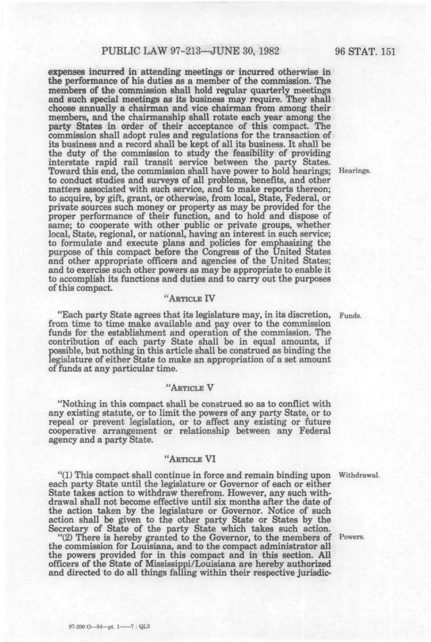## PUBLIC LAW 97-213—JUNE 30, 1982 96 STAT. 151

expenses incurred in attending meetings or incurred otherwise in the performance of his duties as a member of the commission. The members of the commission shall hold regular quarterly meetings and such special meetings as its business may require. They shall choose annually a chairman and vice chairman from among their members, and the chairmanship shall rotate each year among the party States in order of their acceptance of this compact. The commission shall adopt rules and regulations for the transaction of its business and a record shall be kept of all its business. It shall be the duty of the commission to study the feasibility of providing interstate rapid rail transit service between the party States. Toward this end, the commission shall have power to hold hearings; Hearings. to conduct studies and surveys of all problems, benefits, and other matters associated with such service, and to make reports thereon; to acquire, by gift, grant, or otherwise, from local, State, Federal, or private sources such money or property as may be provided for the proper performance of their function, and to hold and dispose of same; to cooperate with other public or private groups, whether local. State, regional, or national, having an interest in such service; to formulate and execute plans and policies for emphasizing the purpose of this compact before the Congress of the United States and other appropriate officers and agencies of the United States; and to exercise such other powers as may be appropriate to enable it to accomplish its functions and duties and to carry out the purposes of this compact.

## "ARTICLE IV

"Each party State agrees that its legislature may, in its discretion, Funds. from time to time make available and pay over to the commission funds for the establishment and operation of the commission. The contribution of each party State shall be in equal amounts, if possible, but nothing in this article shall be construed as binding the legislature of either State to make an appropriation of a set amount of funds at any particular time.

#### "ARTICLE V

"Nothing in this compact shall be construed so as to conflict with any existing statute, or to limit the powers of any party State, or to repeal or prevent legislation, or to affect any existing or future cooperative arrangement or relationship between any Federal agency and a party State.

#### "ARTICLE VI

"(1) This compact shall continue in force and remain binding upon Withdrawal. each party State until the legislature or Governor of each or either State takes action to withdraw therefrom. However, any such withdrawal shall not become effective until six months after the date of the action taken by the legislature or Governor. Notice of such action shall be given to the other party State or States by the Secretary of State of the party State which takes such action.

"(2) There is hereby granted to the Governor, to the members of Powers. the commission for Louisiana, and to the compact administrator all the powers provided for in this compact and in this section. All officers of the State of Mississippi/Louisiana are hereby authorized and directed to do all things falling within their respective jurisdic-